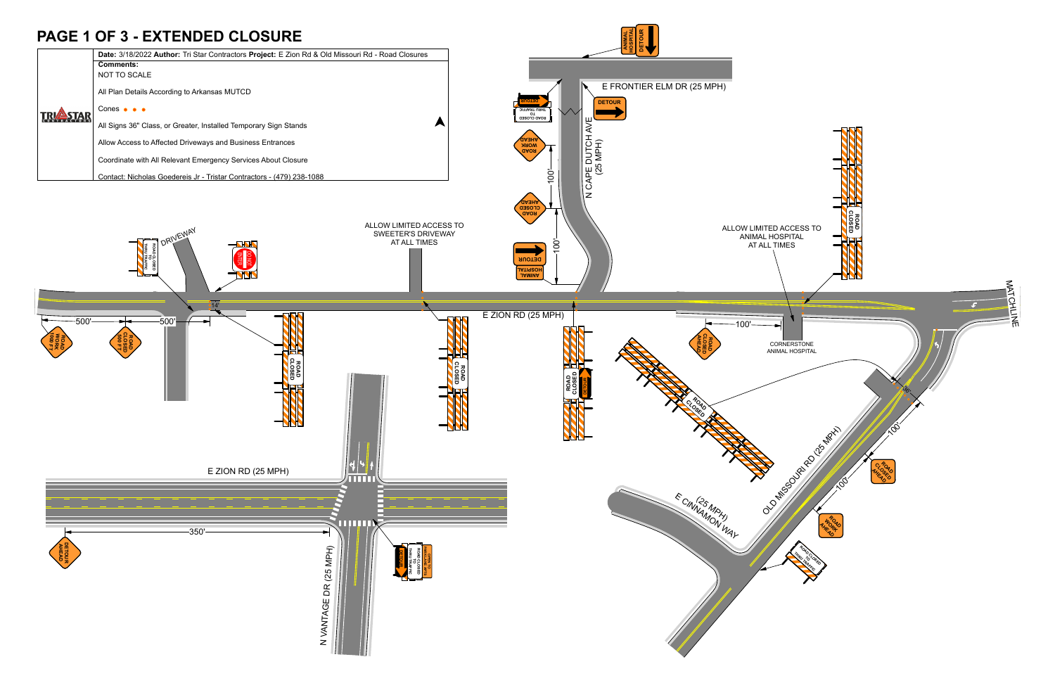## **PAGE 1 OF 3 - EXTENDED CLOSURE**

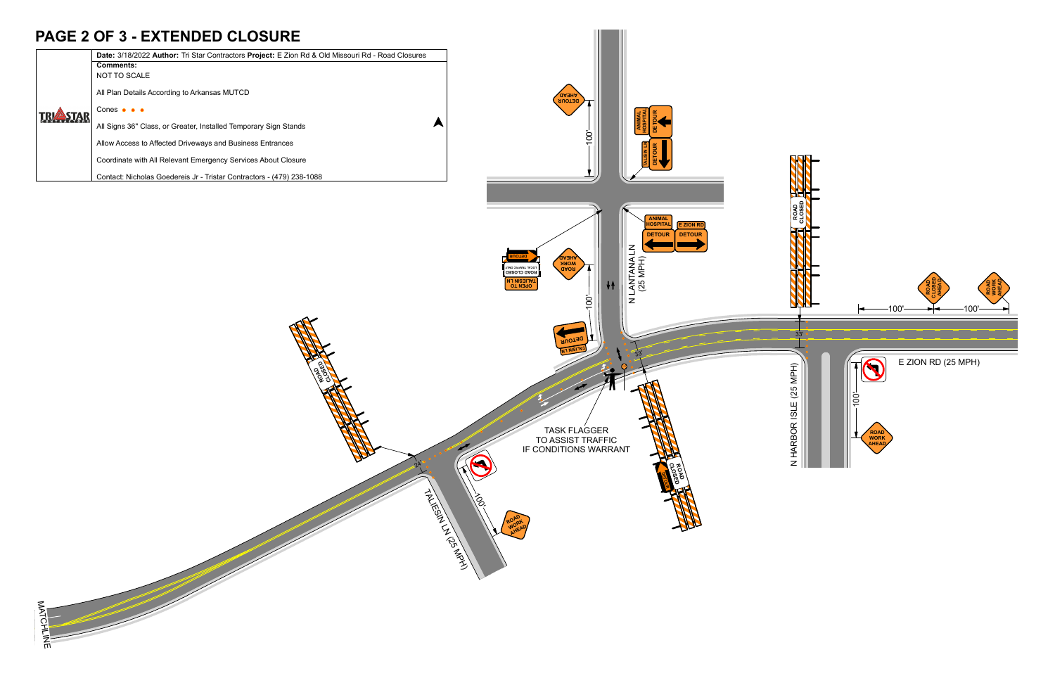| <b>ASTAR</b> | Date: 3/18/2022 Author: Tri Star Contractors Project: E Zion Rd & Old Missouri Rd - Road Closures |
|--------------|---------------------------------------------------------------------------------------------------|
|              | <b>Comments:</b>                                                                                  |
|              | NOT TO SCALE                                                                                      |
|              | All Plan Details According to Arkansas MUTCD                                                      |
|              | Cones $\bullet \bullet \bullet$                                                                   |
|              | All Signs 36" Class, or Greater, Installed Temporary Sign Stands                                  |
|              | Allow Access to Affected Driveways and Business Entrances                                         |
|              | Coordinate with All Relevant Emergency Services About Closure                                     |
|              | Contact: Nicholas Goedereis Jr - Tristar Contractors - (479) 238-1088                             |

ay<br>Ro **COSED** 



## **PAGE 2 OF 3 - EXTENDED CLOSURE**